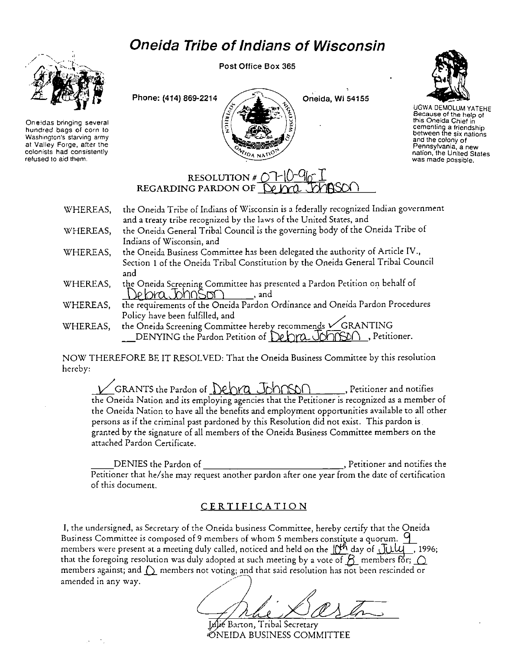## **Oneida Tribe of Indians of Wisconsin**



**Oneidas bringing several hundred bags of corn to Washington's starving** *army*  **at Valley Forge, after the colonists had consistently refused to aid them.** 

Post Office Box 365





UGWA DEMOLUM YATEHE Because of the help of **this Oneida Chief in cementing a friendship between the six nations and the colony of Pennsylvania, a new nation, the United States was made possible.** 

## **RESOLUTION #**  $\overline{O}$ **<br>REGARDING PARDON OF**

- WHEREAS, the Oneida Tribe of Indians of Wisconsin is a federally recognized Indian government and a treaty tribe recognized by the laws of the United States, and
- WHEREAS, the Oneida General Tribal Council is the governing body of the Oneida Tribe of Indians of Wisconsin, and
- WHEREAS, the Oneida Business Committee has been delegated the authority of Article IV., Section I of the Oneida Tribal Constitution by the Oneida General Tribal Council and
- WHEREAS, the Oneida Screening Committee has presented a Pardon Petition on behalf of  $\Phi$  lora. Ohn $S$ on  $\_\_\_\_\$  and .
- WHEREAS, the requirements of the Oneida Pardon Ordinance and Oneida Pardon Procedures Policy have been fulfilled, and ./
- WHEREAS, the Oneida Screening Committee hereby recommends *v* GRANTING DENYING the Pardon Petition of  $\Omega$ chra Johnson, Petitioner.

NOW THEREFORE BE IT RESOLVED: That the Oneida Business Committee by this resolution hereby:

GRANTS the Pardon of Debra Johnson , Petitioner and notifies the Oneida Nation and its employing agencies that the Petitioner is recognized as a member of the Oneida Nation to have all the benefits and employment opportunities available to all other persons as if the criminal past pardoned by this Resolution did not exist. This pardon is granted by the signature of all members of the Oneida Business Committee members on the attached Pardon Certificate.

DENIES the Pardon of the state of the part of the part of the part of the part of the part of the part of the p Petitioner that he/she may request another pardon after one year from the date of certification of this document.

## CERTIFICATION

I, the undersigned, as Secretary of the Oneida business Committee, hereby certify that the Oneida Business Committee is composed of 9 members of whom 5 members constitute a quorum.  $\mathsf{q}$ members were present at a meeting duly called, noticed and held on the  $\frac{m}{\sqrt{2}}$  day of  $\frac{\pi}{\sqrt{2}}$ , 1996; that the foregoing resolution was duly adopted at such meeting by a vote of  $\beta$ - members for;  $\bigcirc$ members against; and  $\bigcirc$  members not voting; and that said resolution has not been rescinded or amended in any way.

Barton, Tribal Secretary ØNEIDA BUSINESS COMMITTEE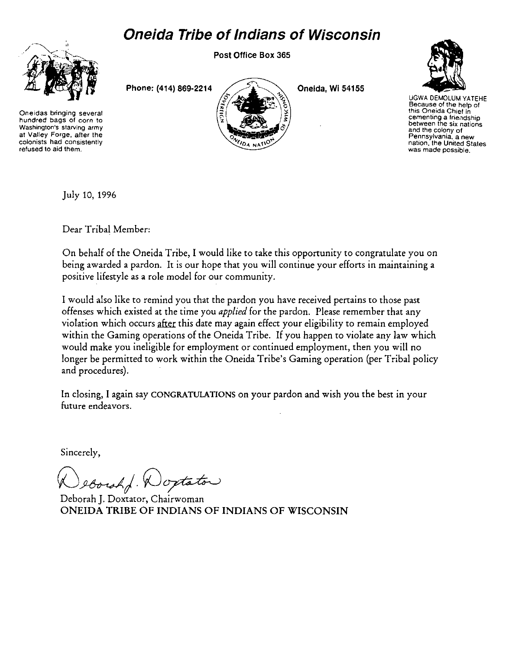## **Oneida Tribe of Indians of Wisconsin**



**Oneidas bringing several hundred bags of corn** *to*  **Washington's starving army at Valley Forge, after the colonists had consistently refused to aid them.** 

Post Office Box 365

Phone: (414) 869-2214  $\bigcup$   $\bigcup$   $\bigcup$  Oneida, Wi 54155



UGWA OEMOLUM YATEHE **Because of the help of this Oneida Chief in cementing a frie,1dship between the six nations and the colony of Pennsylvania, a new nation, the United States was made possible.** 

July 10, 1996

Dear Tribal Member:

On behalf of the Oneida Tribe, I would like to take this opportunity to congratulate you on being awarded a pardon. It is our hope that you will continue your efforts in maintaining a positive lifestyle as a role model for our community.

I would also like to remind you that the pardon you have received pertains to those past offenses which existed at the time you *applied* for the pardon. Please remember that any violation which occurs after this date may again effect your eligibility to remain employed within the Gaming operations of the Oneida Tribe. If you happen to violate any law which would make you ineligible for employment or continued employment, then you will no longer be permitted to work within the Oneida Tribe's Gaming operation (per Tribal policy and procedures).

In closing, I again say CONGRATULATIONS on your pardon and wish you the best in your future endeavors.

Sincerely,

eborshd. Woxtator

Deborah J. Doxtater, Chairwoman ONEIDA TRIBE OF INDIANS OF INDIANS OF WISCONSIN